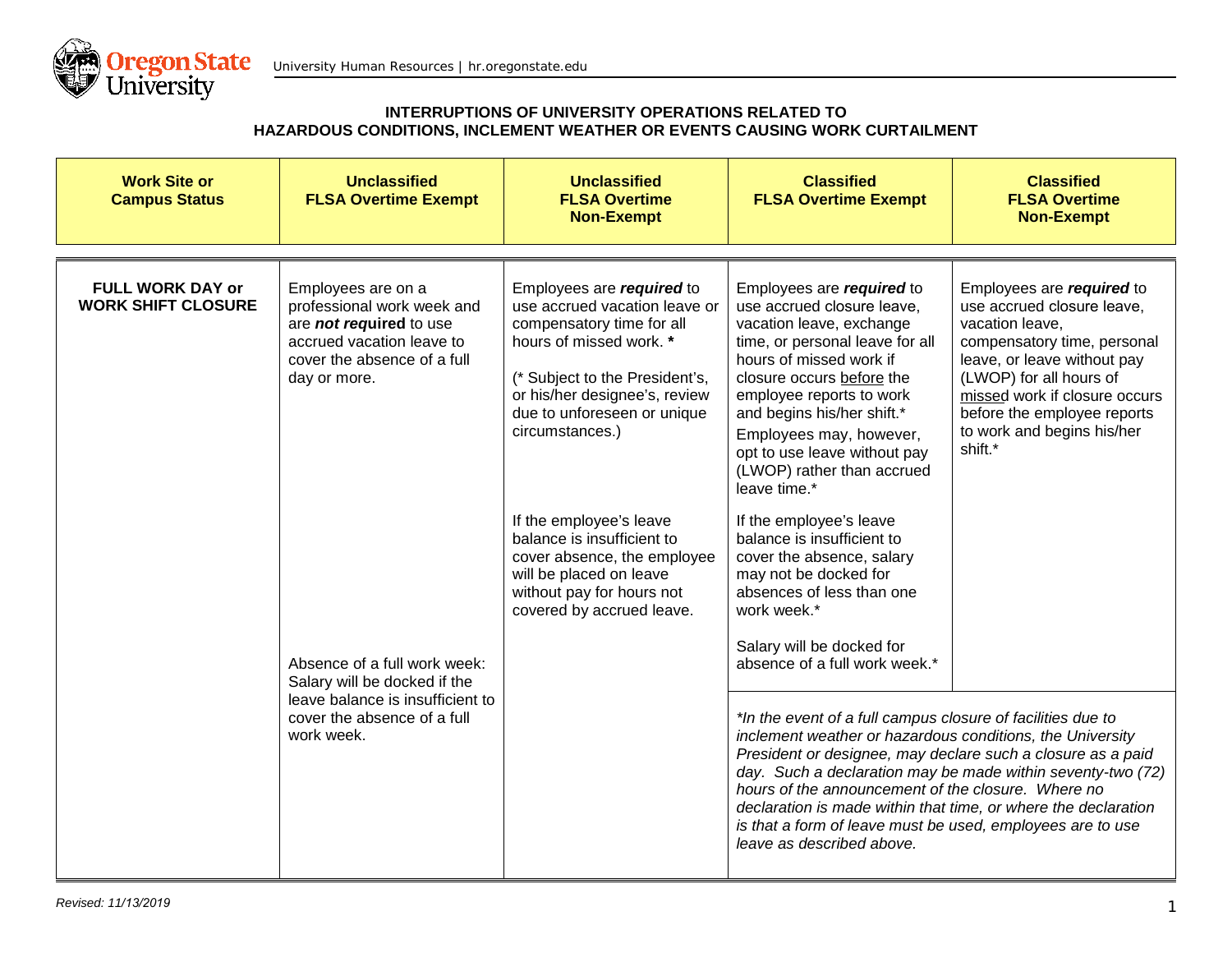

| <b>Work Site or</b><br><b>Campus Status</b>          | <b>Unclassified</b><br><b>FLSA Overtime Exempt</b>                                                                                                             | <b>Unclassified</b><br><b>FLSA Overtime</b><br><b>Non-Exempt</b>                                                                                                                                                                                                                                                                                                                                                                                                          | <b>Classified</b><br><b>FLSA Overtime Exempt</b>                                                                                                                                                                                                                                                                                                  | <b>Classified</b><br><b>FLSA Overtime</b><br><b>Non-Exempt</b>                                                                                                                                                                                                               |
|------------------------------------------------------|----------------------------------------------------------------------------------------------------------------------------------------------------------------|---------------------------------------------------------------------------------------------------------------------------------------------------------------------------------------------------------------------------------------------------------------------------------------------------------------------------------------------------------------------------------------------------------------------------------------------------------------------------|---------------------------------------------------------------------------------------------------------------------------------------------------------------------------------------------------------------------------------------------------------------------------------------------------------------------------------------------------|------------------------------------------------------------------------------------------------------------------------------------------------------------------------------------------------------------------------------------------------------------------------------|
| <b>FULL WORK DAY or</b><br><b>WORK SHIFT CLOSURE</b> | Employees are on a<br>professional work week and<br>are <b>not required</b> to use<br>accrued vacation leave to<br>cover the absence of a full<br>day or more. | Employees are required to<br>use accrued vacation leave or<br>compensatory time for all<br>hours of missed work. *<br>(* Subject to the President's,<br>or his/her designee's, review<br>due to unforeseen or unique<br>circumstances.)                                                                                                                                                                                                                                   | Employees are required to<br>use accrued closure leave,<br>vacation leave, exchange<br>time, or personal leave for all<br>hours of missed work if<br>closure occurs before the<br>employee reports to work<br>and begins his/her shift.*<br>Employees may, however,<br>opt to use leave without pay<br>(LWOP) rather than accrued<br>leave time.* | Employees are required to<br>use accrued closure leave,<br>vacation leave,<br>compensatory time, personal<br>leave, or leave without pay<br>(LWOP) for all hours of<br>missed work if closure occurs<br>before the employee reports<br>to work and begins his/her<br>shift.* |
|                                                      | Absence of a full work week:<br>Salary will be docked if the<br>leave balance is insufficient to<br>cover the absence of a full<br>work week.                  | If the employee's leave<br>balance is insufficient to<br>cover absence, the employee<br>will be placed on leave<br>without pay for hours not<br>covered by accrued leave.                                                                                                                                                                                                                                                                                                 | If the employee's leave<br>balance is insufficient to<br>cover the absence, salary<br>may not be docked for<br>absences of less than one<br>work week.*<br>Salary will be docked for<br>absence of a full work week.*                                                                                                                             |                                                                                                                                                                                                                                                                              |
|                                                      |                                                                                                                                                                | *In the event of a full campus closure of facilities due to<br>inclement weather or hazardous conditions, the University<br>President or designee, may declare such a closure as a paid<br>day. Such a declaration may be made within seventy-two (72)<br>hours of the announcement of the closure. Where no<br>declaration is made within that time, or where the declaration<br>is that a form of leave must be used, employees are to use<br>leave as described above. |                                                                                                                                                                                                                                                                                                                                                   |                                                                                                                                                                                                                                                                              |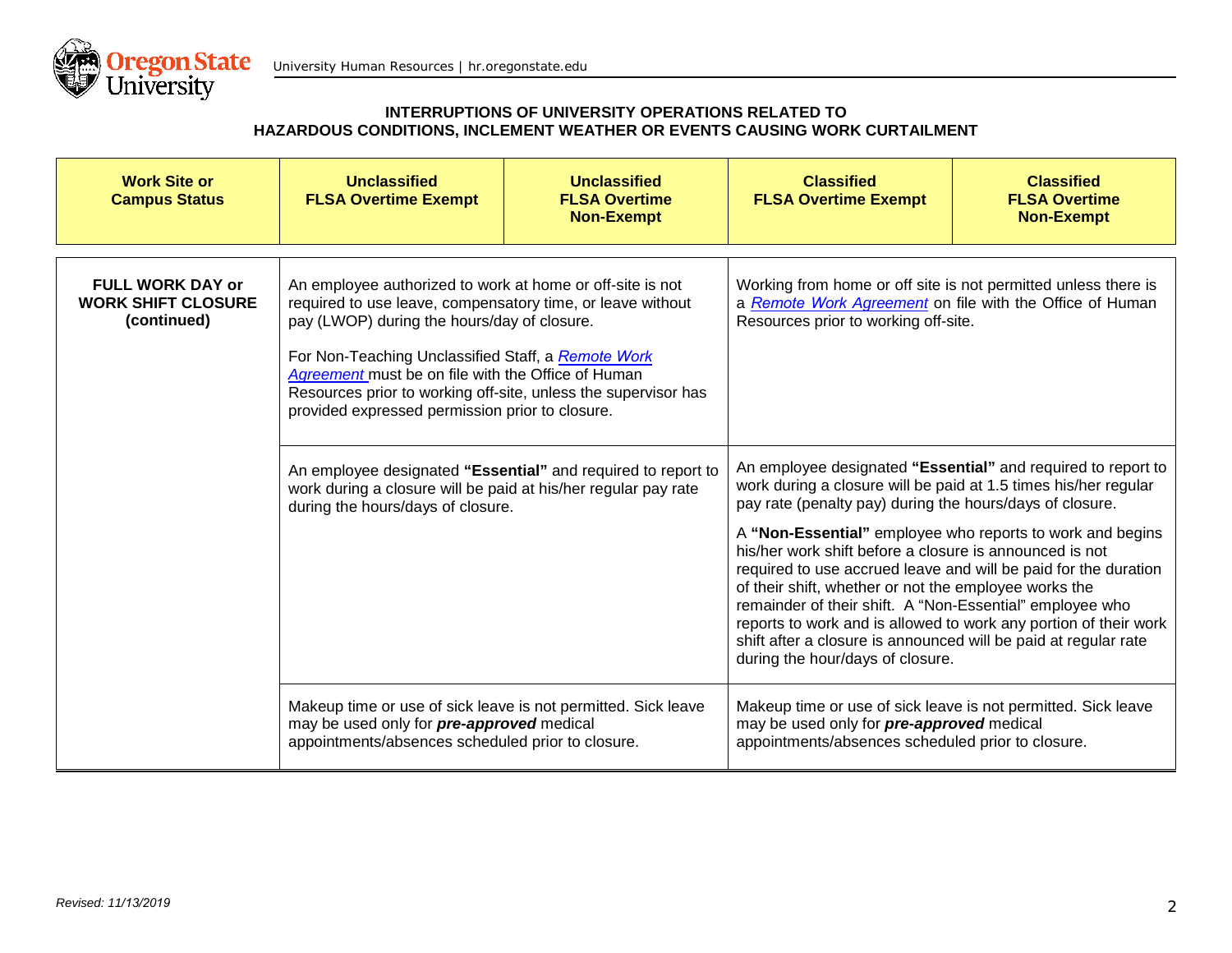

| <b>Work Site or</b><br><b>Campus Status</b>                         | <b>Unclassified</b><br><b>FLSA Overtime Exempt</b>                                                                                                                                                                                                                                                                                                                                                                                                                                                                                                                             | <b>Unclassified</b><br><b>FLSA Overtime</b><br><b>Non-Exempt</b> | <b>Classified</b><br><b>FLSA Overtime Exempt</b>                                                                                                                                                                                                                                                                                                                                                                                                                                                                                                                                                                                                                                       | <b>Classified</b><br><b>FLSA Overtime</b><br><b>Non-Exempt</b> |
|---------------------------------------------------------------------|--------------------------------------------------------------------------------------------------------------------------------------------------------------------------------------------------------------------------------------------------------------------------------------------------------------------------------------------------------------------------------------------------------------------------------------------------------------------------------------------------------------------------------------------------------------------------------|------------------------------------------------------------------|----------------------------------------------------------------------------------------------------------------------------------------------------------------------------------------------------------------------------------------------------------------------------------------------------------------------------------------------------------------------------------------------------------------------------------------------------------------------------------------------------------------------------------------------------------------------------------------------------------------------------------------------------------------------------------------|----------------------------------------------------------------|
| <b>FULL WORK DAY or</b><br><b>WORK SHIFT CLOSURE</b><br>(continued) | An employee authorized to work at home or off-site is not<br>required to use leave, compensatory time, or leave without<br>pay (LWOP) during the hours/day of closure.<br>For Non-Teaching Unclassified Staff, a Remote Work<br>Agreement must be on file with the Office of Human<br>Resources prior to working off-site, unless the supervisor has<br>provided expressed permission prior to closure.<br>An employee designated "Essential" and required to report to<br>work during a closure will be paid at his/her regular pay rate<br>during the hours/days of closure. |                                                                  | Working from home or off site is not permitted unless there is<br>a Remote Work Agreement on file with the Office of Human<br>Resources prior to working off-site.                                                                                                                                                                                                                                                                                                                                                                                                                                                                                                                     |                                                                |
|                                                                     |                                                                                                                                                                                                                                                                                                                                                                                                                                                                                                                                                                                |                                                                  | An employee designated "Essential" and required to report to<br>work during a closure will be paid at 1.5 times his/her regular<br>pay rate (penalty pay) during the hours/days of closure.<br>A "Non-Essential" employee who reports to work and begins<br>his/her work shift before a closure is announced is not<br>required to use accrued leave and will be paid for the duration<br>of their shift, whether or not the employee works the<br>remainder of their shift. A "Non-Essential" employee who<br>reports to work and is allowed to work any portion of their work<br>shift after a closure is announced will be paid at regular rate<br>during the hour/days of closure. |                                                                |
|                                                                     | Makeup time or use of sick leave is not permitted. Sick leave<br>may be used only for pre-approved medical<br>appointments/absences scheduled prior to closure.                                                                                                                                                                                                                                                                                                                                                                                                                |                                                                  | Makeup time or use of sick leave is not permitted. Sick leave<br>may be used only for pre-approved medical<br>appointments/absences scheduled prior to closure.                                                                                                                                                                                                                                                                                                                                                                                                                                                                                                                        |                                                                |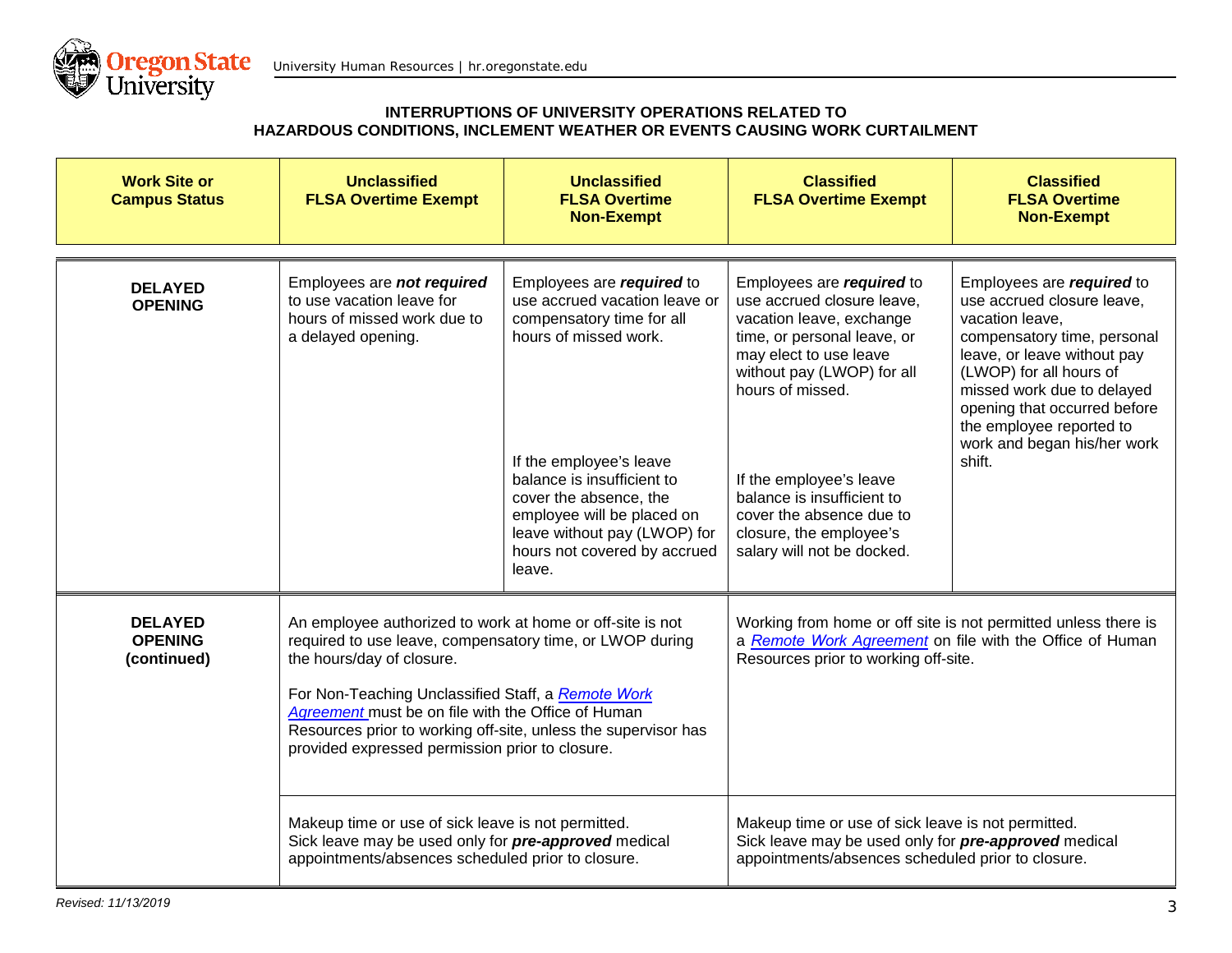

| <b>Work Site or</b><br><b>Campus Status</b>     | <b>Unclassified</b><br><b>FLSA Overtime Exempt</b>                                                                                                                                                                                                                                                                                                                                  | <b>Unclassified</b><br><b>FLSA Overtime</b><br><b>Non-Exempt</b>                                                                                                                                                                                                                                            | <b>Classified</b><br><b>FLSA Overtime Exempt</b>                                                                                                                                                                                                                                                                                             | <b>Classified</b><br><b>FLSA Overtime</b><br><b>Non-Exempt</b>                                                                                                                                                                                                                                         |
|-------------------------------------------------|-------------------------------------------------------------------------------------------------------------------------------------------------------------------------------------------------------------------------------------------------------------------------------------------------------------------------------------------------------------------------------------|-------------------------------------------------------------------------------------------------------------------------------------------------------------------------------------------------------------------------------------------------------------------------------------------------------------|----------------------------------------------------------------------------------------------------------------------------------------------------------------------------------------------------------------------------------------------------------------------------------------------------------------------------------------------|--------------------------------------------------------------------------------------------------------------------------------------------------------------------------------------------------------------------------------------------------------------------------------------------------------|
| <b>DELAYED</b><br><b>OPENING</b>                | Employees are not required<br>to use vacation leave for<br>hours of missed work due to<br>a delayed opening.                                                                                                                                                                                                                                                                        | Employees are required to<br>use accrued vacation leave or<br>compensatory time for all<br>hours of missed work.<br>If the employee's leave<br>balance is insufficient to<br>cover the absence, the<br>employee will be placed on<br>leave without pay (LWOP) for<br>hours not covered by accrued<br>leave. | Employees are required to<br>use accrued closure leave,<br>vacation leave, exchange<br>time, or personal leave, or<br>may elect to use leave<br>without pay (LWOP) for all<br>hours of missed.<br>If the employee's leave<br>balance is insufficient to<br>cover the absence due to<br>closure, the employee's<br>salary will not be docked. | Employees are required to<br>use accrued closure leave,<br>vacation leave,<br>compensatory time, personal<br>leave, or leave without pay<br>(LWOP) for all hours of<br>missed work due to delayed<br>opening that occurred before<br>the employee reported to<br>work and began his/her work<br>shift. |
| <b>DELAYED</b><br><b>OPENING</b><br>(continued) | An employee authorized to work at home or off-site is not<br>required to use leave, compensatory time, or LWOP during<br>the hours/day of closure.<br>For Non-Teaching Unclassified Staff, a Remote Work<br>Agreement must be on file with the Office of Human<br>Resources prior to working off-site, unless the supervisor has<br>provided expressed permission prior to closure. |                                                                                                                                                                                                                                                                                                             | Working from home or off site is not permitted unless there is<br>a Remote Work Agreement on file with the Office of Human<br>Resources prior to working off-site.                                                                                                                                                                           |                                                                                                                                                                                                                                                                                                        |
|                                                 | Makeup time or use of sick leave is not permitted.<br>Sick leave may be used only for pre-approved medical<br>appointments/absences scheduled prior to closure.                                                                                                                                                                                                                     |                                                                                                                                                                                                                                                                                                             | Makeup time or use of sick leave is not permitted.<br>Sick leave may be used only for pre-approved medical<br>appointments/absences scheduled prior to closure.                                                                                                                                                                              |                                                                                                                                                                                                                                                                                                        |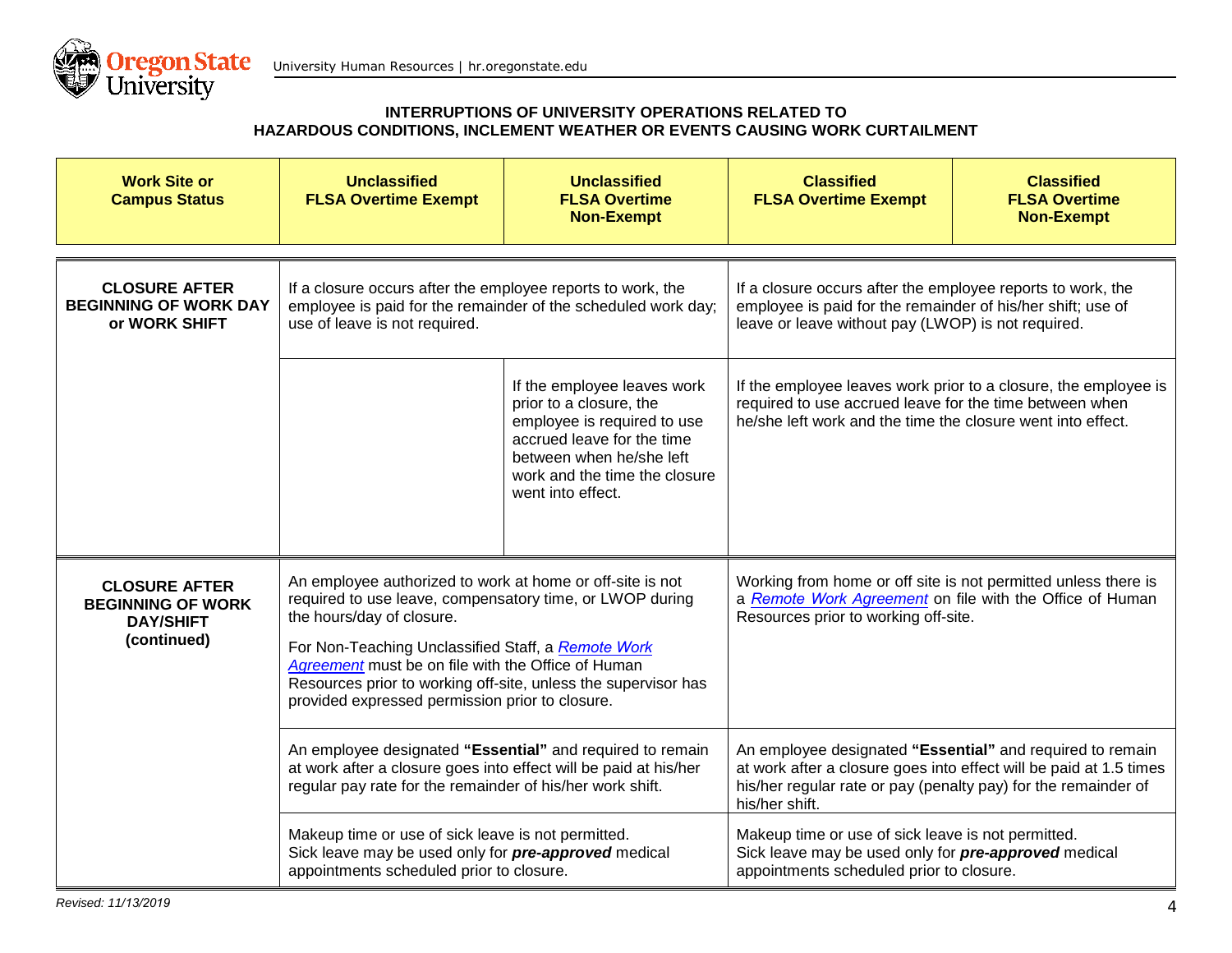

| <b>Work Site or</b><br><b>Campus Status</b>                                                                                                            | <b>Unclassified</b><br><b>FLSA Overtime Exempt</b>                                                                                                                                                                                                                                                                                                                                  | <b>Unclassified</b><br><b>FLSA Overtime</b><br><b>Non-Exempt</b>                                                                                                                                      | <b>Classified</b><br><b>FLSA Overtime Exempt</b>                                                                                                                                                                    | <b>Classified</b><br><b>FLSA Overtime</b><br><b>Non-Exempt</b>  |
|--------------------------------------------------------------------------------------------------------------------------------------------------------|-------------------------------------------------------------------------------------------------------------------------------------------------------------------------------------------------------------------------------------------------------------------------------------------------------------------------------------------------------------------------------------|-------------------------------------------------------------------------------------------------------------------------------------------------------------------------------------------------------|---------------------------------------------------------------------------------------------------------------------------------------------------------------------------------------------------------------------|-----------------------------------------------------------------|
| <b>CLOSURE AFTER</b><br><b>BEGINNING OF WORK DAY</b><br>or WORK SHIFT                                                                                  | If a closure occurs after the employee reports to work, the<br>employee is paid for the remainder of the scheduled work day;<br>use of leave is not required.                                                                                                                                                                                                                       |                                                                                                                                                                                                       | If a closure occurs after the employee reports to work, the<br>employee is paid for the remainder of his/her shift; use of<br>leave or leave without pay (LWOP) is not required.                                    |                                                                 |
|                                                                                                                                                        |                                                                                                                                                                                                                                                                                                                                                                                     | If the employee leaves work<br>prior to a closure, the<br>employee is required to use<br>accrued leave for the time<br>between when he/she left<br>work and the time the closure<br>went into effect. | required to use accrued leave for the time between when<br>he/she left work and the time the closure went into effect.                                                                                              | If the employee leaves work prior to a closure, the employee is |
| <b>CLOSURE AFTER</b><br><b>BEGINNING OF WORK</b><br><b>DAY/SHIFT</b><br>(continued)                                                                    | An employee authorized to work at home or off-site is not<br>required to use leave, compensatory time, or LWOP during<br>the hours/day of closure.<br>For Non-Teaching Unclassified Staff, a Remote Work<br>Agreement must be on file with the Office of Human<br>Resources prior to working off-site, unless the supervisor has<br>provided expressed permission prior to closure. |                                                                                                                                                                                                       | Working from home or off site is not permitted unless there is<br>a Remote Work Agreement on file with the Office of Human<br>Resources prior to working off-site.                                                  |                                                                 |
|                                                                                                                                                        | An employee designated "Essential" and required to remain<br>at work after a closure goes into effect will be paid at his/her<br>regular pay rate for the remainder of his/her work shift.                                                                                                                                                                                          |                                                                                                                                                                                                       | An employee designated "Essential" and required to remain<br>at work after a closure goes into effect will be paid at 1.5 times<br>his/her regular rate or pay (penalty pay) for the remainder of<br>his/her shift. |                                                                 |
| Makeup time or use of sick leave is not permitted.<br>Sick leave may be used only for pre-approved medical<br>appointments scheduled prior to closure. |                                                                                                                                                                                                                                                                                                                                                                                     |                                                                                                                                                                                                       | Makeup time or use of sick leave is not permitted.<br>Sick leave may be used only for pre-approved medical<br>appointments scheduled prior to closure.                                                              |                                                                 |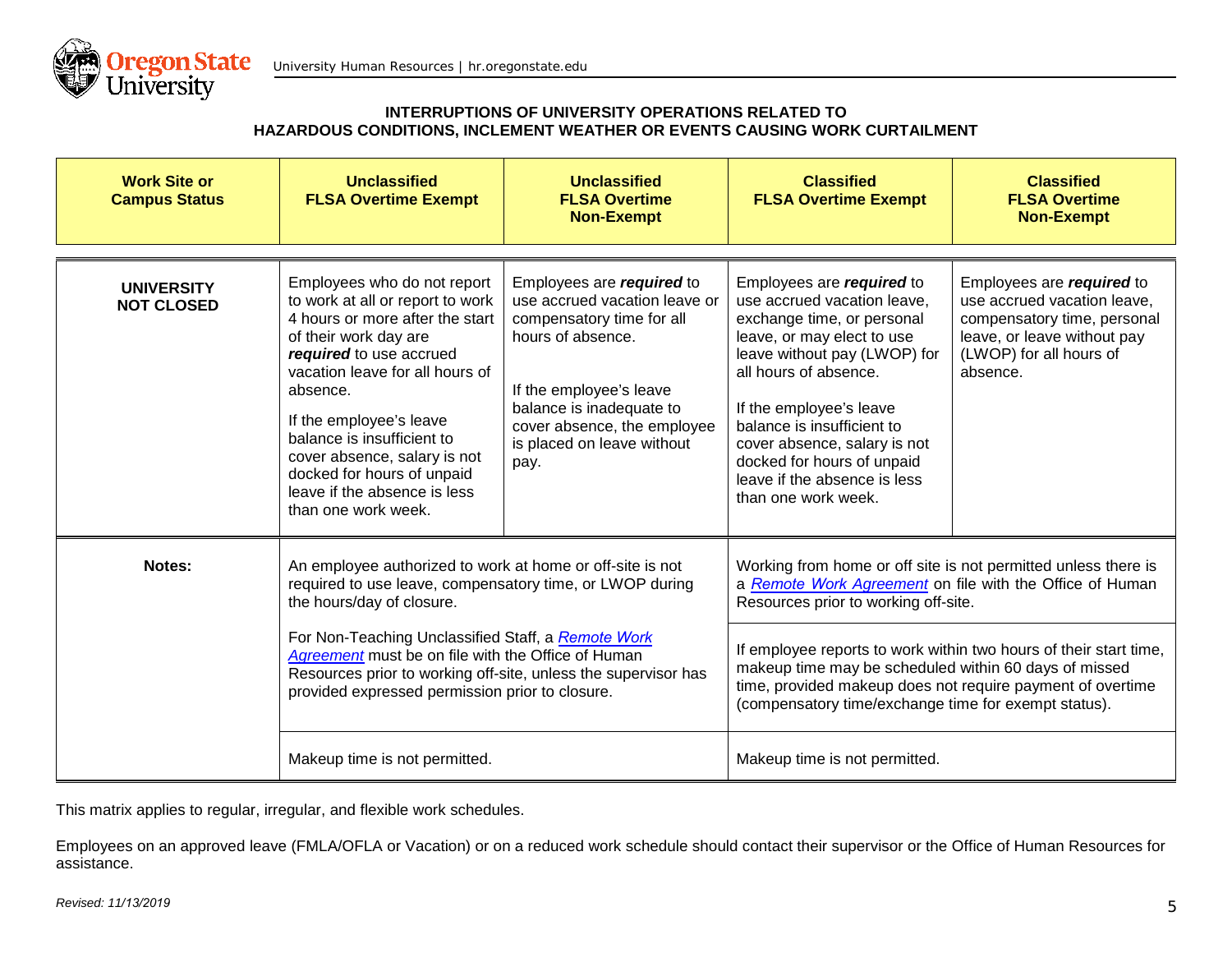

|                                        | Employees who do not report                                                                                                                                                                                                                                                                                                                                                                                          |                                                                                                                                                                                                                                          |                                                                                                                                                                                                                                                                                                                                                                                                                                                         |                                                                                                                                                               |
|----------------------------------------|----------------------------------------------------------------------------------------------------------------------------------------------------------------------------------------------------------------------------------------------------------------------------------------------------------------------------------------------------------------------------------------------------------------------|------------------------------------------------------------------------------------------------------------------------------------------------------------------------------------------------------------------------------------------|---------------------------------------------------------------------------------------------------------------------------------------------------------------------------------------------------------------------------------------------------------------------------------------------------------------------------------------------------------------------------------------------------------------------------------------------------------|---------------------------------------------------------------------------------------------------------------------------------------------------------------|
| <b>UNIVERSITY</b><br><b>NOT CLOSED</b> | to work at all or report to work<br>4 hours or more after the start<br>of their work day are<br>required to use accrued<br>vacation leave for all hours of<br>absence.<br>If the employee's leave<br>balance is insufficient to<br>cover absence, salary is not<br>docked for hours of unpaid<br>leave if the absence is less<br>than one work week.                                                                 | Employees are required to<br>use accrued vacation leave or<br>compensatory time for all<br>hours of absence.<br>If the employee's leave<br>balance is inadequate to<br>cover absence, the employee<br>is placed on leave without<br>pay. | Employees are required to<br>use accrued vacation leave,<br>exchange time, or personal<br>leave, or may elect to use<br>leave without pay (LWOP) for<br>all hours of absence.<br>If the employee's leave<br>balance is insufficient to<br>cover absence, salary is not<br>docked for hours of unpaid<br>leave if the absence is less<br>than one work week.                                                                                             | Employees are required to<br>use accrued vacation leave,<br>compensatory time, personal<br>leave, or leave without pay<br>(LWOP) for all hours of<br>absence. |
| Notes:                                 | An employee authorized to work at home or off-site is not<br>required to use leave, compensatory time, or LWOP during<br>the hours/day of closure.<br>For Non-Teaching Unclassified Staff, a Remote Work<br>Agreement must be on file with the Office of Human<br>Resources prior to working off-site, unless the supervisor has<br>provided expressed permission prior to closure.<br>Makeup time is not permitted. |                                                                                                                                                                                                                                          | Working from home or off site is not permitted unless there is<br>a Remote Work Agreement on file with the Office of Human<br>Resources prior to working off-site.<br>If employee reports to work within two hours of their start time,<br>makeup time may be scheduled within 60 days of missed<br>time, provided makeup does not require payment of overtime<br>(compensatory time/exchange time for exempt status).<br>Makeup time is not permitted. |                                                                                                                                                               |

This matrix applies to regular, irregular, and flexible work schedules.

Employees on an approved leave (FMLA/OFLA or Vacation) or on a reduced work schedule should contact their supervisor or the Office of Human Resources for assistance.